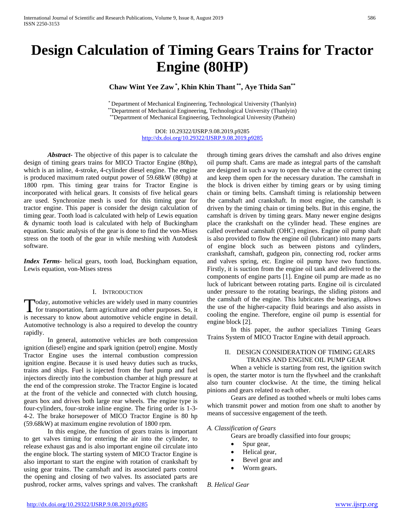# **Design Calculation of Timing Gears Trains for Tractor Engine (80HP)**

**Chaw Wint Yee Zaw \* , Khin Khin Thant \*\*, Aye Thida San\*\***

\* Department of Mechanical Engineering, Technological University (Thanlyin) \*\*Department of Mechanical Engineering, Technological University (Thanlyin) \*\*Department of Mechanical Engineering, Technological University (Pathein)

> DOI: 10.29322/IJSRP.9.08.2019.p9285 <http://dx.doi.org/10.29322/IJSRP.9.08.2019.p9285>

*Abstract***-** The objective of this paper is to calculate the design of timing gears trains for MICO Tractor Engine (80hp), which is an inline, 4-stroke, 4-cylinder diesel engine. The engine is produced maximum rated output power of 59.68kW (80hp) at 1800 rpm. This timing gear trains for Tractor Engine is incorporated with helical gears. It consists of five helical gears are used. Synchronize mesh is used for this timing gear for tractor engine. This paper is consider the design calculation of timing gear. Tooth load is calculated with help of Lewis equation & dynamic tooth load is calculated with help of Buckingham equation. Static analysis of the gear is done to find the von-Mises stress on the tooth of the gear in while meshing with Autodesk software.

*Index Terms*- helical gears, tooth load, Buckingham equation, Lewis equation, von-Mises stress

#### I. INTRODUCTION

Today, automotive vehicles are widely used in many countries Today, automotive vehicles are widely used in many countries<br>for transportation, farm agriculture and other purposes. So, it is necessary to know about automotive vehicle engine in detail. Automotive technology is also a required to develop the country rapidly.

In general, automotive vehicles are both compression ignition (diesel) engine and spark ignition (petrol) engine. Mostly Tractor Engine uses the internal combustion compression ignition engine. Because it is used heavy duties such as trucks, trains and ships. Fuel is injected from the fuel pump and fuel injectors directly into the combustion chamber at high pressure at the end of the compression stroke. The Tractor Engine is located at the front of the vehicle and connected with clutch housing, gears box and drives both large rear wheels. The engine type is four-cylinders, four-stroke inline engine. The firing order is 1-3- 4-2. The brake horsepower of MICO Tractor Engine is 80 hp (59.68kW) at maximum engine revolution of 1800 rpm.

In this engine, the function of gears trains is important to get valves timing for entering the air into the cylinder, to release exhaust gas and is also important engine oil circulate into the engine block. The starting system of MICO Tractor Engine is also important to start the engine with rotation of crankshaft by using gear trains. The camshaft and its associated parts control the opening and closing of two valves. Its associated parts are pushrod, rocker arms, valves springs and valves. The crankshaft through timing gears drives the camshaft and also drives engine oil pump shaft. Cams are made as integral parts of the camshaft are designed in such a way to open the valve at the correct timing and keep them open for the necessary duration. The camshaft in the block is driven either by timing gears or by using timing chain or timing belts. Camshaft timing is relationship between the camshaft and crankshaft. In most engine, the camshaft is driven by the timing chain or timing belts. But in this engine, the camshaft is driven by timing gears. Many newer engine designs place the crankshaft on the cylinder head. These engines are called overhead camshaft (OHC) engines. Engine oil pump shaft is also provided to flow the engine oil (lubricant) into many parts of engine block such as between pistons and cylinders, crankshaft, camshaft, gudgeon pin, connecting rod, rocker arms and valves spring, etc. Engine oil pump have two functions. Firstly, it is suction from the engine oil tank and delivered to the components of engine parts [1]. Engine oil pump are made as no luck of lubricant between rotating parts. Engine oil is circulated under pressure to the rotating bearings, the sliding pistons and the camshaft of the engine. This lubricates the bearings, allows the use of the higher-capacity fluid bearings and also assists in cooling the engine. Therefore, engine oil pump is essential for engine block [2].

In this paper, the author specializes Timing Gears Trains System of MICO Tractor Engine with detail approach.

#### II. DESIGN CONSIDERATION OF TIMING GEARS TRAINS AND ENGINE OIL PUMP GEAR

When a vehicle is starting from rest, the ignition switch is open, the starter motor is turn the flywheel and the crankshaft also turn counter clockwise. At the time, the timing helical pinions and gears related to each other.

Gears are defined as toothed wheels or multi lobes cams which transmit power and motion from one shaft to another by means of successive engagement of the teeth.

#### *A. Classification of Gears*

Gears are broadly classified into four groups;

- Spur gear,
- Helical gear,
- Bevel gear and
- Worm gears.

*B. Helical Gear*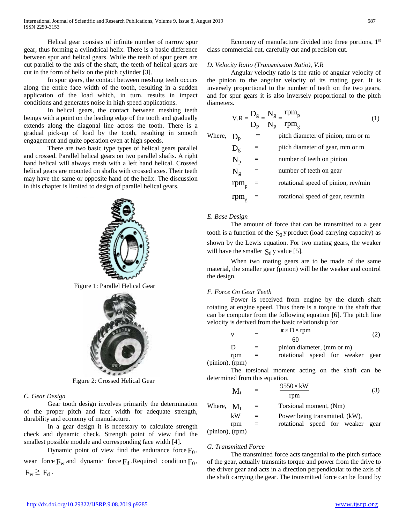Helical gear consists of infinite number of narrow spur gear, thus forming a cylindrical helix. There is a basic difference between spur and helical gears. While the teeth of spur gears are cut parallel to the axis of the shaft, the teeth of helical gears are cut in the form of helix on the pitch cylinder [3].

In spur gears, the contact between meshing teeth occurs along the entire face width of the tooth, resulting in a sudden application of the load which, in turn, results in impact conditions and generates noise in high speed applications.

In helical gears, the contact between meshing teeth beings with a point on the leading edge of the tooth and gradually extends along the diagonal line across the tooth. There is a gradual pick-up of load by the tooth, resulting in smooth engagement and quite operation even at high speeds.

There are two basic type types of helical gears parallel and crossed. Parallel helical gears on two parallel shafts. A right hand helical will always mesh with a left hand helical. Crossed helical gears are mounted on shafts with crossed axes. Their teeth may have the same or opposite hand of the helix. The discussion in this chapter is limited to design of parallel helical gears.



Figure 1: Parallel Helical Gear



Figure 2: Crossed Helical Gear

# *C. Gear Design*

Gear tooth design involves primarily the determination of the proper pitch and face width for adequate strength, durability and economy of manufacture.

In a gear design it is necessary to calculate strength check and dynamic check. Strength point of view find the smallest possible module and corresponding face width [4].

Dynamic point of view find the endurance force  $F_0$ , wear force  $F_w$  and dynamic force  $F_d$ . Required condition  $F_0$ ,  $F_w \geq F_d$ .

Economy of manufacture divided into three portions,  $1<sup>st</sup>$ class commercial cut, carefully cut and precision cut.

# *D. Velocity Ratio (Transmission Ratio), V.R*

Angular velocity ratio is the ratio of angular velocity of the pinion to the angular velocity of its mating gear. It is inversely proportional to the number of teeth on the two gears, and for spur gears it is also inversely proportional to the pitch diameters.

$$
V.R = \frac{D_g}{D_p} = \frac{N_g}{N_p} = \frac{rpm_p}{rpm_g}
$$
 (1)

| Where, $D_p$ |               |     | pitch diameter of pinion, mm or m   |
|--------------|---------------|-----|-------------------------------------|
|              | $D_{\rm g}$   | $=$ | pitch diameter of gear, mm or m     |
|              | $N_p$         | $=$ | number of teeth on pinion           |
|              | $N_g$         | $=$ | number of teeth on gear             |
|              | $rpm_{p}$ =   |     | rotational speed of pinion, rev/min |
|              | $rpm_{\rm g}$ | $=$ | rotational speed of gear, rev/min   |

# *E. Base Design*

The amount of force that can be transmitted to a gear tooth is a function of the  $S_0$ y product (load carrying capacity) as shown by the Lewis equation. For two mating gears, the weaker will have the smaller  $S_0$  y value [5].

When two mating gears are to be made of the same material, the smaller gear (pinion) will be the weaker and control the design.

# *F. Force On Gear Teeth*

Power is received from engine by the clutch shaft rotating at engine speed. Thus there is a torque in the shaft that can be computer from the following equation [6]. The pitch line velocity is derived from the basic relationship for

|   |     | $\pi \times D \times r$ pm       |  |
|---|-----|----------------------------------|--|
| D | $=$ | 60<br>pinion diameter, (mm or m) |  |

rpm = rotational speed for weaker gear

(pinion), (rpm)

The torsional moment acting on the shaft can be determined from this equation.

$$
\mathbf{M}_{\rm t} = \frac{9550 \times \text{kW}}{\text{rpm}} \tag{3}
$$

| Where, $M_t$         |     | $=$ | Torsional moment, (Nm)           |
|----------------------|-----|-----|----------------------------------|
|                      | kW  | $=$ | Power being transmitted, (kW),   |
|                      | rpm | $=$ | rotational speed for weaker gear |
| $(pinion)$ , $(rpm)$ |     |     |                                  |

(pinion), (rpm)

# *G. Transmitted Force*

The transmitted force acts tangential to the pitch surface of the gear, actually transmits torque and power from the drive to the driver gear and acts in a direction perpendicular to the axis of the shaft carrying the gear. The transmitted force can be found by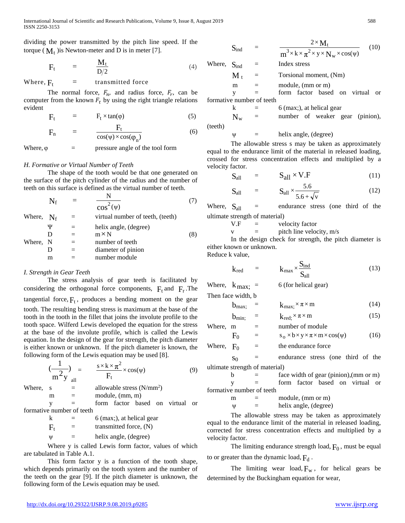International Journal of Scientific and Research Publications, Volume 9, Issue 8, August 2019 588 ISSN 2250-3153

dividing the power transmitted by the pitch line speed. If the torque ( $M_t$ ) is Newton-meter and D is in meter [7].

$$
F_t = \frac{M_t}{D/2} \tag{4}
$$

Where,  $F_t$  = transmitted force

The normal force,  $F_n$ , and radius force,  $F_r$ , can be computer from the known  $F_t$  by using the right triangle relations evident

$$
F_t = F_t \times \tan(\varphi) \tag{5}
$$

$$
F_n = \frac{F_t}{\cos(\psi) \times \cos(\phi_n)}
$$
(6)

Where,  $\varphi$  = pressure angle of the tool form

#### *H. Formative or Virtual Number of Teeth*

The shape of the tooth would be that one generated on the surface of the pitch cylinder of the radius and the number of teeth on this surface is defined as the virtual number of teeth.

$$
N_f = \frac{N}{\cos^2(\psi)} \tag{7}
$$

Where, 
$$
N_f
$$
 = virtual number of teeth, (teeth)

\n $\Psi$  = helix angle, (degree)\n $D$  = m×N (8)\nWhere,  $N$  = number of teeth

\n $D$  = diameter of pinion m = number module

#### *I. Strength in Gear Teeth*

The stress analysis of gear teeth is facilitated by considering the orthogonal force components,  $F_t$  and  $F_r$ . The tangential force,  $F_t$ , produces a bending moment on the gear tooth. The resulting bending stress is maximum at the base of the tooth in the tooth in the fillet that joins the involute profile to the tooth space. Wilferd Lewis developed the equation for the stress at the base of the involute profile, which is called the Lewis equation. In the design of the gear for strength, the pitch diameter is either known or unknown. If the pitch diameter is known, the following form of the Lewis equation may be used [8].

$$
\left(\frac{1}{m^2 y}\right)_{\text{all}} = \frac{s \times k \times \pi^2}{F_t} \times \cos(\psi) \tag{9}
$$

Where, s  $=$  allowable stress (N/mm<sup>2</sup>)

 $m =$  module,  $(mm, m)$ 

y = form factor based on virtual or formative number of teeth

> $k = 6$  (max;), at helical gear  $F_t$  = transmitted force, (N)  $\Psi$  = helix angle, (degree)

Where y is called Lewis form factor, values of which are tabulated in Table A.1.

This form factor y is a function of the tooth shape, which depends primarily on the tooth system and the number of the teeth on the gear [9]. If the pitch diameter is unknown, the following form of the Lewis equation may be used.

$$
S_{ind} = \frac{2 \times M_t}{m^3 \times k \times \pi^2 \times y \times N_w \times cos(\psi)}
$$
(10)  
Where,  $S_{ind} =$  Index stress  
 $M_t =$  Torsional moment, (Nm)  
m = module, (mm or m)  
y = form factor based on virtual or  
formative number of teeth

$$
k = 6 \text{ (max;)}, \text{ at helical gear}
$$
\n
$$
N_w = \text{number of weaker gear}
$$

(teeth)

$$
\psi = \text{helix angle, (degree)}
$$

The allowable stress s may be taken as approximately equal to the endurance limit of the material in released loading, crossed for stress concentration effects and multiplied by a velocity factor.

$$
S_{all} = S_{all} \times V.F
$$
 (11)

$$
\mathbf{S}_{\text{all}} = \mathbf{S}_{\text{all}} \times \frac{5.6}{5.6 + \sqrt{v}}
$$
 (12)

Where,  $S_{all}$  = endurance stress (one third of the ultimate strength of material)

 $V.F =$  velocity factor

 $v =$  pitch line velocity, m/s

In the design check for strength, the pitch diameter is either known or unknown. Reduce k value,

$$
k_{\text{red}} = k_{\text{max}} \times \frac{S_{\text{ind}}}{S_{\text{all}}}
$$
 (13)

Where, 
$$
k_{\text{max}}
$$
; = 6 (for helical gear)

Then face width, b

$$
b_{\max} = k_{\max} \times \pi \times m \tag{14}
$$

$$
\mathbf{b}_{\min} = \mathbf{k}_{\text{red}} \times \pi \times \mathbf{m} \tag{15}
$$

Where,  $m =$  number of module  $F_0 = s_0 \times b \times y \times \pi \times m \times cos(\psi)$  (16)

Where,  $F_0$  = the endurance force

 $s_0$  = endurance stress (one third of the ultimate strength of material)

 $b =$  face width of gear (pinion),(mm or m) y = form factor based on virtual or formative number of teeth

> $m =$  module, (mm or m)  $\Psi$  = helix angle, (degree)

The allowable stress may be taken as approximately equal to the endurance limit of the material in released loading, corrected for stress concentration effects and multiplied by a velocity factor.

The limiting endurance strength load,  $F_0$ , must be equal to or greater than the dynamic load,  $F_d$ .

The limiting wear load,  $F_w$ , for helical gears be determined by the Buckingham equation for wear,

 $(pinion),$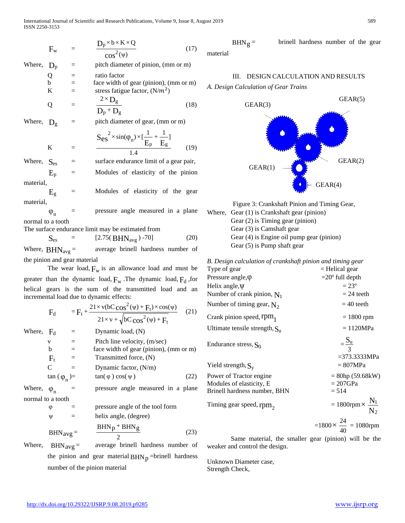$$
F_w = \frac{D_p \times b \times K \times Q}{\cos^2(\psi)} \tag{17}
$$

Where,  $D_n$  = pitch diameter of pinion, (mm or m)

 $Q =$  ratio factor  $b =$  face width of gear (pinion), (mm or m) K = stress fatigue factor,  $(N/m^2)$ 

$$
Q = \frac{2 \times D_g}{D_p + D_g}
$$
 (18)

Where,  $D_g$  = pitch diameter of gear, (mm or m)

$$
K = \frac{S_{es}^{2} \times \sin(\varphi_{n}) \times [\frac{1}{E_{p}} + \frac{1}{E_{g}}]}{1.4}
$$
 (19)

Where,  $S_{\text{ee}}$  = surface endurance limit of a gear pair,  $E_p$  = Modules of elasticity of the pinion material,

 $E_g$  = Modules of elasticity of the gear material,

 $\varphi_n$  = pressure angle measured in a plane normal to a tooth

The surface endurance limit may be estimated from

$$
S_{es} = [2.75(BHN_{avg}) - 70]
$$
 (20)

Where,  $BHN_{avg}$  = average brinell hardness number of the pinion and gear material

The wear load,  $F_w$  is an allowance load and must be greater than the dynamic load,  $F_w$ . The dynamic load,  $F_d$ , for helical gears is the sum of the transmitted load and an incremental load due to dynamic effects:

$$
F_{d} = F_{t} + \frac{21 \times v (bC \cos^{2}(\psi) + F_{t}) \times \cos(\psi)}{21 \times v + \sqrt{bC \cos^{2}(\psi) + F_{t}}}
$$
 (21)

Where,  $F_d$  = Dynamic load, (N)  $=$  Pitch line velocity,  $(m/sec)$ 

> $b =$  face width of gear (pinion), (mm or m)  $F_t$  = Transmitted force, (N)

$$
C = \text{Dynamic factor, (N/m)}\n\tan (\varphi_1) = \tan(\varphi) \cos(\psi)
$$
\n(22)

Where,  $\varphi_n$  = pressure angle measured in a plane normal to a tooth

$$
\varphi
$$
 = pressure angle of the tool form  
\n $\psi$  = helix angle, (degree)

$$
BHN_{avg} = \frac{BHN_{p} + BHN_{g}}{2}
$$
 (23)

Where,  $BHN_{avg} =$  average brinell hardness number of

the pinion and gear material  $BHN_p$  =brinell hardness number of the pinion material

$$
BHNg =
$$
 **brinell hardness number of the gear** material

# III. DESIGN CALCULATION AND RESULTS *A. Design Calculation of Gear Trains*





Where, Gear (1) is Crankshaft gear (pinion) Gear (2) is Timing gear (pinion) Gear (3) is Camshaft gear Gear (4) is Engine oil pump gear (pinion) Gear (5) is Pump shaft gear

| B. Design calculation of crankshaft pinion and timing gear |                                         |
|------------------------------------------------------------|-----------------------------------------|
| Type of gear                                               | $=$ Helical gear                        |
| Pressure angle, $\varphi$                                  | $=$ 20 $\degree$ full depth             |
| Helix angle, Ψ                                             | $= 23^{\circ}$                          |
| Number of crank pinion, $N_1$                              | $= 24$ teeth                            |
| Number of timing gear, $N_2$                               | $= 40$ teeth                            |
| Crank pinion speed, rpm <sub>1</sub>                       | $= 1800$ rpm                            |
| Ultimate tensile strength, $S_u$                           | $= 1120 MPa$                            |
| Endurance stress, $S_0$                                    | $=\frac{S_u}{3}$                        |
| Yield strength, $S_v$                                      | $= 373.3333 MPa$<br>$= 807 MPa$         |
| Power of Tractor engine                                    | $= 80$ hp (59.68kW)                     |
| Modules of elasticity, E<br>Brinell hardness number, BHN   | $= 207$ GPa<br>$= 514$                  |
| Timing gear speed, $rpm2$                                  | $= 1800$ rpm $\times \frac{N_1}{N_2}$   |
|                                                            | $=1800 \times \frac{24}{40} = 1080$ rpm |

Same material, the smaller gear (pinion) will be the weaker and control the design.

Unknown Diameter case, Strength Check,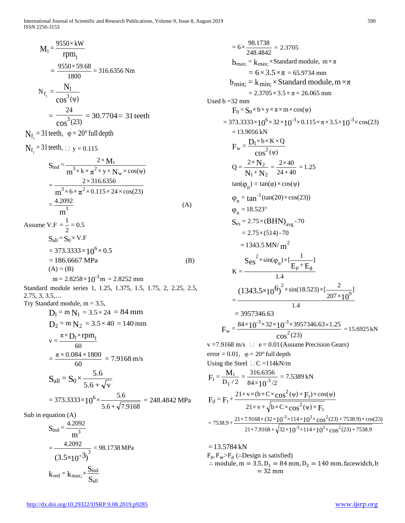International Journal of Scientific and Research Publications, Volume 9, Issue 8, August 2019 590 ISSN 2250-3153

$$
M_{t} = \frac{9550 \times kW}{rpm_{1}}
$$
  
=  $\frac{9550 \times 59.68}{1800} = 316.6356$  Nm  

$$
N_{f_{1}} = \frac{N_{1}}{cos^{3}(\psi)}
$$
  
=  $\frac{24}{cos^{3}(23)} = 30.7704 \approx 31$  teeth  

$$
N_{f_{1}} = 31
$$
 teeth,  $\varphi = 20^{\circ}$  full depth  

$$
N_{f_{1}} = 31
$$
 teeth,  $\bot$  y = 0.115  

$$
S_{ind} = \frac{2 \times M_{t}}{m^{3} \times k \times \pi^{2} \times y \times N_{w} \times cos(\psi)}
$$
  
=  $\frac{2 \times 316.6356}{m^{3} \times 6 \times \pi^{2} \times 0.115 \times 24 \times cos(23)}$   
=  $\frac{4.2092}{m^{3}}$  (A)  
Assume V.F =  $\frac{1}{1} = 0.5$ 

Assume V.F = 
$$
\frac{1}{2}
$$
 = 0.5  
\nS<sub>all</sub> = S<sub>0</sub> × V.F  
\n= 373.3333 × 10<sup>6</sup> × 0.5  
\n= 186.6667 MPa  
\n(A) = (B)  
\nm = 2.8258 × 10<sup>-3</sup>m = 2.8252 mm

Standard module series 1, 1.25, 1.375, 1.5, 1.75, 2, 2.25, 2.5, 2.75, 3, 3.5,… Try Standard module,  $m = 3.5$ ,

$$
D_1 = m N_1 = 3.5 \times 24 = 84 \text{ mm}
$$
  
\n
$$
D_2 = m N_2 = 3.5 \times 40 = 140 \text{ mm}
$$
  
\n
$$
v = \frac{\pi \times D_1 \times \text{rpm}_1}{60}
$$
  
\n
$$
= \frac{\pi \times 0.084 \times 1800}{60} = 7.9168 \text{ m/s}
$$
  
\n
$$
S_{all} = S_0 \times \frac{5.6}{5.6 + \sqrt{v}}
$$
  
\n
$$
= 373.3333 \times 10^6 \times \frac{5.6}{5.6 + \sqrt{7.9168}} = 248.4842 \text{ MPa}
$$

Sub in equation (A)

$$
S_{ind} = \frac{4.2092}{m^3}
$$
  
= 
$$
\frac{4.2092}{(3.5 \times 10^{-3})^3} = 98.1738 \text{ MPa}
$$
  

$$
k_{red} = k_{max;} \times \frac{S_{ind}}{S_{all}}
$$

 $= 6 \times \frac{98.1738}{248.4842} = 2.3705$  $b_{\text{max}} = k_{\text{max}} \times$ Standard module,  $m \times \pi$  $= 6 \times 3.5 \times \pi = 65.9734$  mm  $b_{\text{min}} = k_{\text{min}} \times$ Standard module, m $\times \pi$  $= 2.3705 \times 3.5 \times \pi = 26.065$  mm Used  $b = 32$  mm  $F_0 = S_0 \times b \times y \times \pi \times m \times cos(\psi)$  $= 373.3333 \times 10^{6} \times 32 \times 10^{-3} \times 0.115 \times \pi \times 3.5 \times 10^{-3} \times \cos(23)$  $= 13.9056$  kN (ψ)  $=\frac{D_1\times b\times K\times Q}{2}$  $F_w = \frac{D_1 \times b \times}{\cos^2}$  $N_1 + N$ N  $1 + N_2$ 2 +  $Q = \frac{2 \times N_2}{N_1 + N_2} = \frac{2 \times 40}{24 + 40} = 1.25$  $tan(\phi_n) = tan(\phi) \times cos(\psi)$  $\varphi_n = \tan^{-1}(\tan(20) \times \cos(23))$  $\varphi_n = 18.523^\circ$  $S_{\rm es} = 2.75 \times (BHN)_{\rm ave}$  - 70  $= 2.75 \times (514) - 70$  $= 1343.5$  MN/ m<sup>2</sup> 1.4  $\frac{1}{1+E_{\sigma}}]$  $\times sin(\varphi_n) \times [\underline{\hspace{1cm}} 1$  $K = \frac{C S}{10}$  $S_{\text{es}}^{\prime} \times \sin(\varphi_n) \times [\frac{1}{E_p + E_g}]$ 2 1.4 ]  $207\times$  $=\frac{(1343.5\times10^{6})^2\times\sin(18.523)\times[\frac{2}{207\times10^9}]}{100}$  $= 3957346.63$  $\cos^2(23)$  $=\frac{84\times10^{-3}\times32\times10^{-3}\times3957346.63\times1.25}{2}$  $F_w = \frac{84 \times 10^{-3} \times 32 \times 10^{-3}}{\cos^2}$  $w = \frac{84 \times 10^{-3} \times 32 \times 10^{-3} \times 3957346.63 \times 1.25}{2,000} = 15.6925 \text{ kN}$ v =7.9168 m/s  $\Box$  e = 0.01 (Assume Precision Gears) error = 0.01,  $\varphi = 20^{\circ}$  full depth Using the Steel  $\Box C = 114$ kN/m  $=\frac{1}{D_1/2}$  $F_t = {M_t \over D_1/2} = {316.6356 \over 84 \times 10^{-3}/2}$  $=\frac{316.6356}{84\times10^{-3}/2}$  = 7.5389 kN  $\cos^2(\psi) + F$  $F_d = F_t + \frac{21 \times v \times (b \times C \times cos^2(\psi) + F)}{1}$  $^{2}(\psi)+F_{t}$  $^{2}(\psi)+F_{t}$  $\frac{d - \mu_t + \mu_t}{21 \times v + \sqrt{b \times C \times \cos^2(\psi) + \mu_t}}$  $= F_t + \frac{21 \times v \times (b \times C \times cos^2(\psi) + F_t) \times cos(\psi)}{F}$  $21\times7.9168 + \sqrt{32\times10^{-3}\times114\times10^{3}\times\cos^{2}(23)} + 7538.9$  $= 7538.9 + \frac{21 \times 7.9168 \times (32 \times 10^{-3} \times 114 \times 10^{3} \times \cos^{2}(23) + 7538.9) \times \cos(23)}{7538.9 \times 10^{-3} \times 10^{-3} \times 10^{-3} \times 10^{-3} \times 10^{-3} \times 10^{-3} \times 10^{-3} \times 10^{-3} \times 10^{-3} \times 10^{-3} \times 10^{-3} \times 10^{-3} \times 10^{-3} \times 10^{-3} \times 10^{-3} \times 10^{-3} \times 10^{-3}$  $10^{-3} \times 114 \times 10^{3} \times \cos$  $10^{-3} \times 114 \times 10^{3} \times \cos$  $-3$   $\times$  114  $\times$  10<sup>3</sup>  $\times$  999<sup>2</sup>  $-3 \times 114 \times 10^3 \times$  28.2<sup>2</sup>

 $= 13.5784$  kN  $F_0$ ,  $F_w$ > $F_d$  (∴Design is satisfied) ∴ module, m = 3.5,  $D_1$  = 84 mm,  $D_2$  = 140 mm, facewidch, b  $= 32$  mm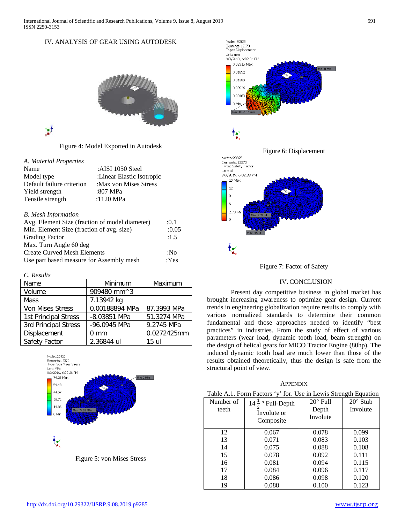# IV. ANALYSIS OF GEAR USING AUTODESK



Y

Figure 4: Model Exported in Autodesk

# *A. Material Properties*

| Name                       | :AISI 1050 Steel          |
|----------------------------|---------------------------|
| Model type                 | :Linear Elastic Isotropic |
| Default failure criterion  | :Max von Mises Stress     |
| Yield strength             | :807 MPa                  |
| Tensile strength           | :1120 MPa                 |
| <b>B.</b> Mesh Information |                           |

| Avg. Element Size (fraction of model diameter) | :0.1  |
|------------------------------------------------|-------|
| Min. Element Size (fraction of avg. size)      | :0.05 |
| <b>Grading Factor</b>                          | :1.5  |
| Max. Turn Angle 60 deg                         |       |
| <b>Create Curved Mesh Elements</b>             | :No   |
| Use part based measure for Assembly mesh       | : Yes |

#### *C. Results*

| Name                 | Minimum                                   | Maximum     |
|----------------------|-------------------------------------------|-------------|
| Volume               | 909480 mm <sup><math>\land</math></sup> 3 |             |
| Mass                 | 7.13942 kg                                |             |
| Von Mises Stress     | 0.00188894 MPa                            | 87.3993 MPa |
| 1st Principal Stress | -8.03851 MPa                              | 51.3274 MPa |
| 3rd Principal Stress | -96.0945 MPa                              | 9.2745 MPa  |
| Displacement         | mm                                        | 0.0272425mm |
| Safety Factor        | 2.36844 ul                                | 15 มโ       |



Figure 5: von Mises Stress



Figure 7: Factor of Safety

# IV. CONCLUSION

Present day competitive business in global market has brought increasing awareness to optimize gear design. Current trends in engineering globalization require results to comply with various normalized standards to determine their common fundamental and those approaches needed to identify "best practices" in industries. From the study of effect of various parameters (wear load, dynamic tooth load, beam strength) on the design of helical gears for MICO Tractor Engine (80hp). The induced dynamic tooth load are much lower than those of the results obtained theoretically, thus the design is safe from the structural point of view.

# **APPENDIX**

| Table A.1. Form Factors 'y' for. Use in Lewis Strength Equation |  |  |  |  |
|-----------------------------------------------------------------|--|--|--|--|
|                                                                 |  |  |  |  |

| Number of<br>teeth | $14 \frac{1}{4}$ • Full-Depth<br>Involute or<br>Composite | $20^\circ$ Full<br>Depth<br>Involute | $20^\circ$ Stub<br>Involute |
|--------------------|-----------------------------------------------------------|--------------------------------------|-----------------------------|
| 12                 | 0.067                                                     | 0.078                                | 0.099                       |
| 13                 | 0.071                                                     | 0.083                                | 0.103                       |
| 14                 | 0.075                                                     | 0.088                                | 0.108                       |
| 15                 | 0.078                                                     | 0.092                                | 0.111                       |
| 16                 | 0.081                                                     | 0.094                                | 0.115                       |
| 17                 | 0.084                                                     | 0.096                                | 0.117                       |
| 18                 | 0.086                                                     | 0.098                                | 0.120                       |
| 19                 | 0.088                                                     | 0.100                                | 0.123                       |